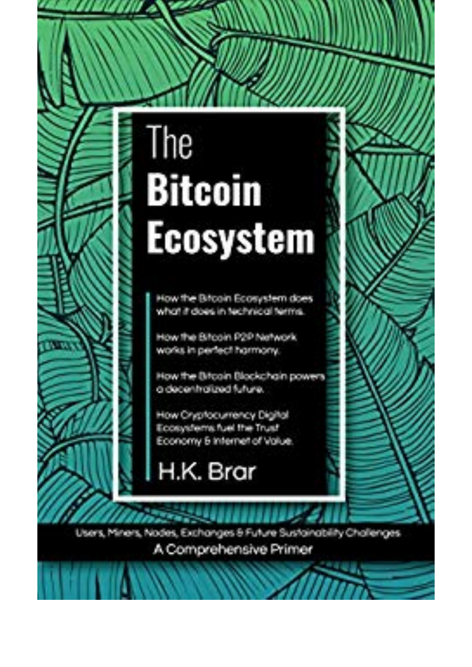## The **Bitcoin Ecosystem**

How the Bitcoin Ecosystem does. what it does in technical terms.

How the Bircoin P2P Network works in perfect harmony.

How the Bitcoin Blockchain powers a decentratized future.

How Chrotocumency Digital Econometric fuel the Trust Economy 5 Internet of Value.

H.K. Brar



Users, Miners, Nodes, Exchanges & Future Sustainability Challenges

A Comprehensive Primer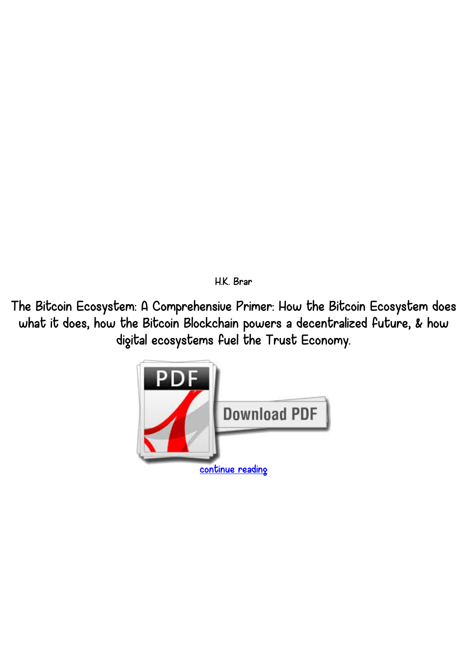*H.K. Brar*

*The Bitcoin Ecosystem: A Comprehensive Primer: How the Bitcoin Ecosystem does what it does, how the Bitcoin Blockchain powers a decentralized future, & how digital ecosystems fuel the Trust Economy.*

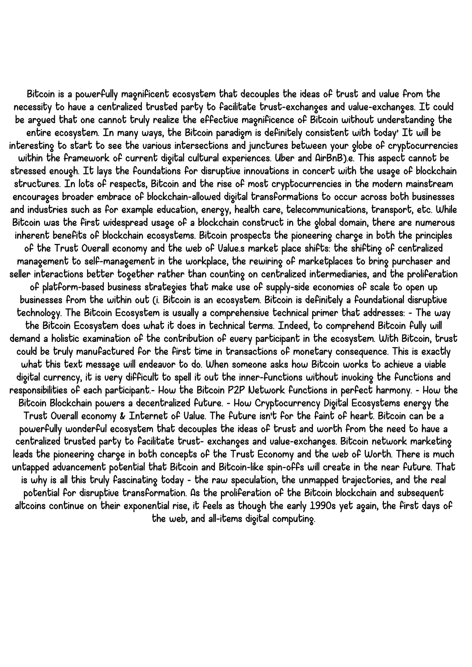*Bitcoin is a powerfully magnificent ecosystem that decouples the ideas of trust and value from the necessity to have a centralized trusted party to facilitate trust-exchanges and value-exchanges. It could be argued that one cannot truly realize the effective magnificence of Bitcoin without understanding the entire ecosystem. In many ways, the Bitcoin paradigm is definitely consistent with today' It will be interesting to start to see the various intersections and junctures between your globe of cryptocurrencies within the framework of current digital cultural experiences. Uber and AirBnB).e. This aspect cannot be stressed enough. It lays the foundations for disruptive innovations in concert with the usage of blockchain structures. In lots of respects, Bitcoin and the rise of most cryptocurrencies in the modern mainstream encourages broader embrace of blockchain-allowed digital transformations to occur across both businesses and industries such as for example education, energy, health care, telecommunications, transport, etc. While Bitcoin was the first widespread usage of a blockchain construct in the global domain, there are numerous inherent benefits of blockchain ecosystems. Bitcoin prospects the pioneering charge in both the principles of the Trust Overall economy and the web of Value.s market place shifts: the shifting of centralized management to self-management in the workplace, the rewiring of marketplaces to bring purchaser and seller interactions better together rather than counting on centralized intermediaries, and the proliferation of platform-based business strategies that make use of supply-side economies of scale to open up businesses from the within out (i. Bitcoin is an ecosystem. Bitcoin is definitely a foundational disruptive technology. The Bitcoin Ecosystem is usually a comprehensive technical primer that addresses: - The way the Bitcoin Ecosystem does what it does in technical terms. Indeed, to comprehend Bitcoin fully will demand a holistic examination of the contribution of every participant in the ecosystem. With Bitcoin, trust could be truly manufactured for the first time in transactions of monetary consequence. This is exactly what this text message will endeavor to do. When someone asks how Bitcoin works to achieve a viable digital currency, it is very difficult to spell it out the inner-functions without invoking the functions and responsibilities of each participant.- How the Bitcoin P2P Network functions in perfect harmony. - How the Bitcoin Blockchain powers a decentralized future. - How Cryptocurrency Digital Ecosystems energy the Trust Overall economy & Internet of Value. The future isn't for the faint of heart. Bitcoin can be a powerfully wonderful ecosystem that decouples the ideas of trust and worth from the need to have a centralized trusted party to facilitate trust- exchanges and value-exchanges. Bitcoin network marketing leads the pioneering charge in both concepts of the Trust Economy and the web of Worth. There is much untapped advancement potential that Bitcoin and Bitcoin-like spin-offs will create in the near future. That is why is all this truly fascinating today - the raw speculation, the unmapped trajectories, and the real potential for disruptive transformation. As the proliferation of the Bitcoin blockchain and subsequent altcoins continue on their exponential rise, it feels as though the early 1990s yet again, the first days of the web, and all-items digital computing.*